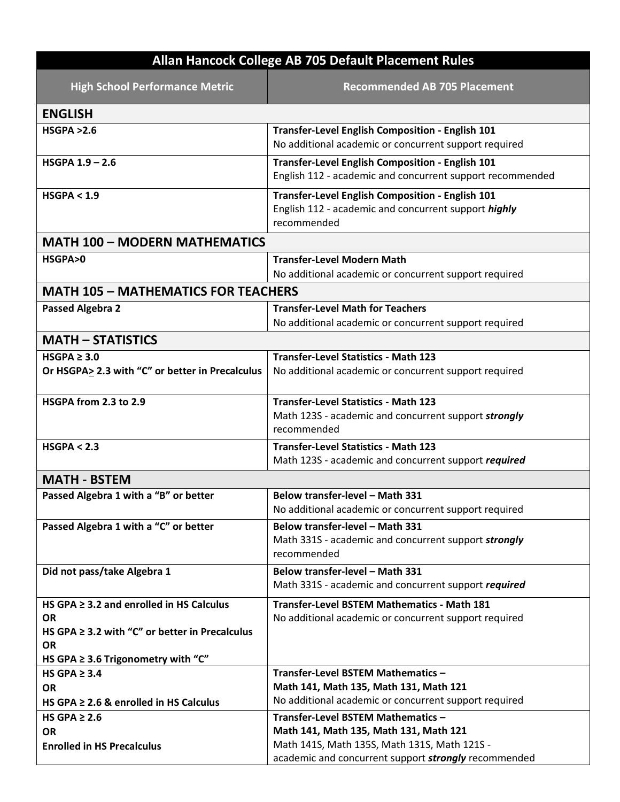| Allan Hancock College AB 705 Default Placement Rules                                                                           |                                                                                                                                                |
|--------------------------------------------------------------------------------------------------------------------------------|------------------------------------------------------------------------------------------------------------------------------------------------|
| <b>High School Performance Metric</b>                                                                                          | <b>Recommended AB 705 Placement</b>                                                                                                            |
| <b>ENGLISH</b>                                                                                                                 |                                                                                                                                                |
| HSGPA > 2.6                                                                                                                    | Transfer-Level English Composition - English 101<br>No additional academic or concurrent support required                                      |
| <b>HSGPA 1.9 - 2.6</b>                                                                                                         | Transfer-Level English Composition - English 101<br>English 112 - academic and concurrent support recommended                                  |
| HSGPA < 1.9                                                                                                                    | Transfer-Level English Composition - English 101<br>English 112 - academic and concurrent support highly<br>recommended                        |
| <b>MATH 100 - MODERN MATHEMATICS</b>                                                                                           |                                                                                                                                                |
| HSGPA>0                                                                                                                        | <b>Transfer-Level Modern Math</b><br>No additional academic or concurrent support required                                                     |
| <b>MATH 105 - MATHEMATICS FOR TEACHERS</b>                                                                                     |                                                                                                                                                |
| <b>Passed Algebra 2</b>                                                                                                        | <b>Transfer-Level Math for Teachers</b><br>No additional academic or concurrent support required                                               |
| <b>MATH - STATISTICS</b>                                                                                                       |                                                                                                                                                |
| $HSGPA \geq 3.0$<br>Or HSGPA> 2.3 with "C" or better in Precalculus                                                            | <b>Transfer-Level Statistics - Math 123</b><br>No additional academic or concurrent support required                                           |
| HSGPA from 2.3 to 2.9                                                                                                          | <b>Transfer-Level Statistics - Math 123</b><br>Math 123S - academic and concurrent support strongly<br>recommended                             |
| HSGPA < 2.3                                                                                                                    | <b>Transfer-Level Statistics - Math 123</b><br>Math 123S - academic and concurrent support required                                            |
| <b>MATH - BSTEM</b>                                                                                                            |                                                                                                                                                |
| Passed Algebra 1 with a "B" or better                                                                                          | Below transfer-level - Math 331<br>No additional academic or concurrent support required                                                       |
| Passed Algebra 1 with a "C" or better                                                                                          | Below transfer-level - Math 331<br>Math 331S - academic and concurrent support strongly<br>recommended                                         |
| Did not pass/take Algebra 1                                                                                                    | Below transfer-level - Math 331<br>Math 331S - academic and concurrent support required                                                        |
| HS GPA $\geq$ 3.2 and enrolled in HS Calculus<br><b>OR</b><br>HS GPA $\geq$ 3.2 with "C" or better in Precalculus<br><b>OR</b> | <b>Transfer-Level BSTEM Mathematics - Math 181</b><br>No additional academic or concurrent support required                                    |
| HS GPA $\geq$ 3.6 Trigonometry with "C"                                                                                        |                                                                                                                                                |
| HS GPA $\geq 3.4$<br><b>OR</b><br>HS GPA $\geq$ 2.6 & enrolled in HS Calculus                                                  | Transfer-Level BSTEM Mathematics -<br>Math 141, Math 135, Math 131, Math 121<br>No additional academic or concurrent support required          |
| HS GPA $\geq 2.6$                                                                                                              | Transfer-Level BSTEM Mathematics -                                                                                                             |
| <b>OR</b><br><b>Enrolled in HS Precalculus</b>                                                                                 | Math 141, Math 135, Math 131, Math 121<br>Math 141S, Math 135S, Math 131S, Math 121S -<br>academic and concurrent support strongly recommended |